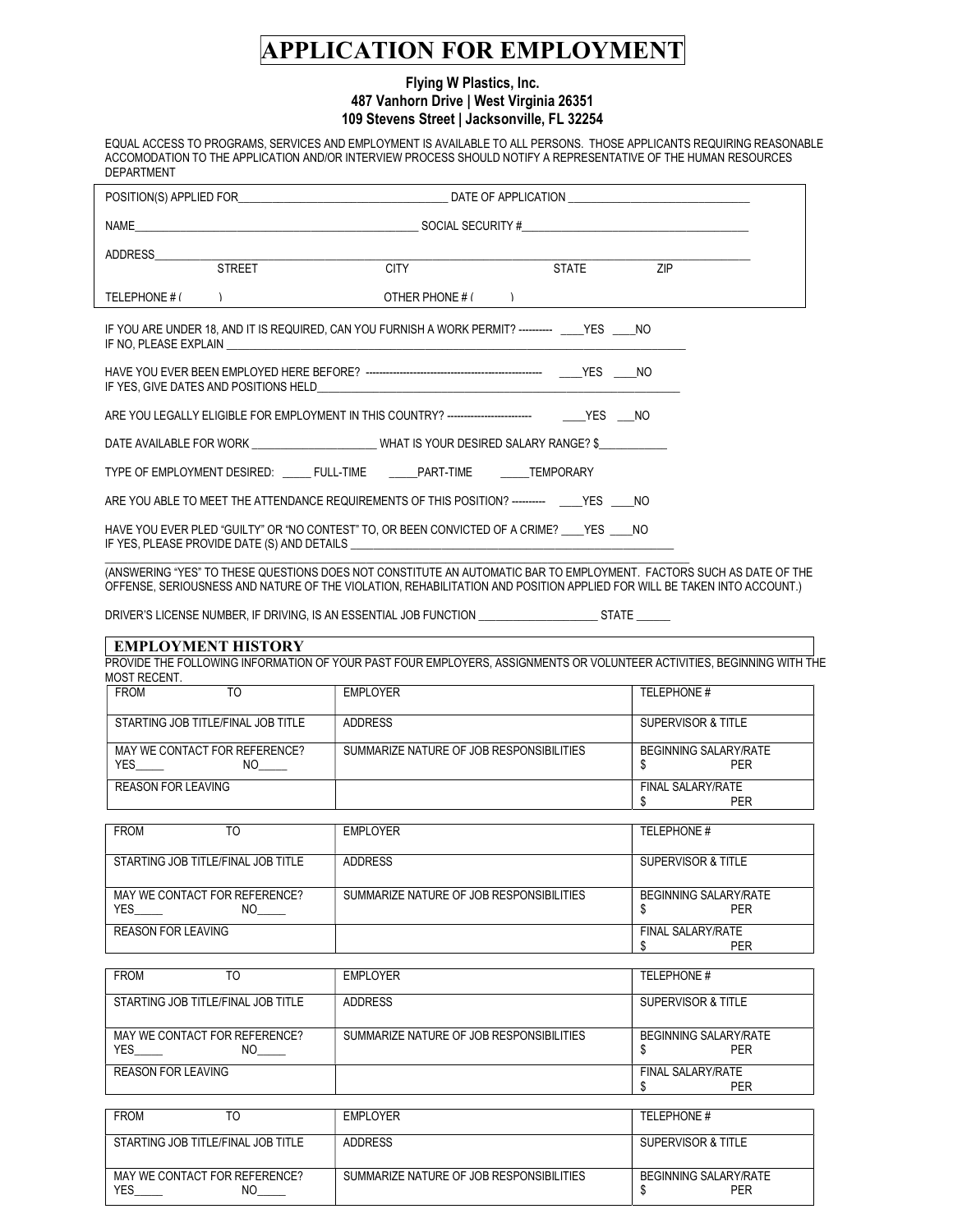# APPLICATION FOR EMPLOYMENT

## Flying W Plastics, Inc. 487 Vanhorn Drive | West Virginia 26351 109 Stevens Street | Jacksonville, FL 32254

EQUAL ACCESS TO PROGRAMS, SERVICES AND EMPLOYMENT IS AVAILABLE TO ALL PERSONS. THOSE APPLICANTS REQUIRING REASONABLE ACCOMODATION TO THE APPLICATION AND/OR INTERVIEW PROCESS SHOULD NOTIFY A REPRESENTATIVE OF THE HUMAN RESOURCES DEPARTMENT

|  | TELEPHONE $#($                                                                                                                                                                                                                    | OTHER PHONE $#$ ( $)$ |  |  |
|--|-----------------------------------------------------------------------------------------------------------------------------------------------------------------------------------------------------------------------------------|-----------------------|--|--|
|  | IF YOU ARE UNDER 18, AND IT IS REQUIRED, CAN YOU FURNISH A WORK PERMIT? ---------- YES NO                                                                                                                                         |                       |  |  |
|  |                                                                                                                                                                                                                                   |                       |  |  |
|  |                                                                                                                                                                                                                                   |                       |  |  |
|  | DATE AVAILABLE FOR WORK _________________________WHAT IS YOUR DESIRED SALARY RANGE? \$______________                                                                                                                              |                       |  |  |
|  | TYPE OF EMPLOYMENT DESIRED: ______ FULL-TIME _______ PART-TIME _______ TEMPORARY                                                                                                                                                  |                       |  |  |
|  | ARE YOU ABLE TO MEET THE ATTENDANCE REQUIREMENTS OF THIS POSITION? ---------- YES NO                                                                                                                                              |                       |  |  |
|  | HAVE YOU EVER PLED "GUILTY" OR "NO CONTEST" TO, OR BEEN CONVICTED OF A CRIME? YES NO<br>IF YES, PLEASE PROVIDE DATE (S) AND DETAILS <b>ACCEPTED ASSESSED ASSESSED</b> FOR SERVICE OF THE VES, PLEASE PROVIDE DATE (S) AND DETAILS |                       |  |  |

\_\_\_\_\_\_\_\_\_\_\_\_\_\_\_\_\_\_\_\_\_\_\_\_\_\_\_\_\_\_\_\_\_\_\_\_\_\_\_\_\_\_\_\_\_\_\_\_\_\_\_\_\_\_\_\_\_\_\_\_\_\_\_\_\_\_\_\_\_\_\_\_\_\_\_\_\_\_\_\_\_\_\_\_\_\_\_\_\_\_\_\_\_\_\_\_\_\_\_\_\_\_\_ (ANSWERING "YES" TO THESE QUESTIONS DOES NOT CONSTITUTE AN AUTOMATIC BAR TO EMPLOYMENT. FACTORS SUCH AS DATE OF THE OFFENSE, SERIOUSNESS AND NATURE OF THE VIOLATION, REHABILITATION AND POSITION APPLIED FOR WILL BE TAKEN INTO ACCOUNT.)

DRIVER'S LICENSE NUMBER, IF DRIVING, IS AN ESSENTIAL JOB FUNCTION \_\_\_\_\_\_\_\_\_\_\_\_\_\_\_\_\_\_\_\_\_\_\_\_\_\_\_\_\_\_\_\_\_\_ STATE \_\_\_\_\_\_\_\_

#### EMPLOYMENT HISTORY

PROVIDE THE FOLLOWING INFORMATION OF YOUR PAST FOUR EMPLOYERS, ASSIGNMENTS OR VOLUNTEER ACTIVITIES, BEGINNING WITH THE MOST RECENT.

| <b>FROM</b><br>TO                                 | EMPLOYER                                 | TELEPHONE #                         |
|---------------------------------------------------|------------------------------------------|-------------------------------------|
| STARTING JOB TITLE/FINAL JOB TITLE                | ADDRESS                                  | SUPERVISOR & TITLE                  |
| MAY WE CONTACT FOR REFERENCE?<br><b>YES</b><br>NΟ | SUMMARIZE NATURE OF JOB RESPONSIBILITIES | <b>BEGINNING SALARY/RATE</b><br>PER |
| REASON FOR LEAVING                                |                                          | FINAL SALARY/RATE<br>PER            |

| <b>FROM</b><br>TO                                 | <b>EMPLOYER</b>                          | TELEPHONE #                  |
|---------------------------------------------------|------------------------------------------|------------------------------|
| STARTING JOB TITLE/FINAL JOB TITLE                | <b>ADDRESS</b>                           | SUPERVISOR & TITLE           |
| MAY WE CONTACT FOR REFERENCE?<br><b>YES</b><br>NΟ | SUMMARIZE NATURE OF JOB RESPONSIBILITIES | BEGINNING SALARY/RATE<br>PFR |
| <b>REASON FOR LEAVING</b>                         |                                          | FINAL SALARY/RATE<br>PER     |

| <b>FROM</b><br>TO                                 | <b>EMPLOYER</b>                          | TELEPHONE #                         |
|---------------------------------------------------|------------------------------------------|-------------------------------------|
| STARTING JOB TITLE/FINAL JOB TITLE                | <b>ADDRESS</b>                           | SUPERVISOR & TITLE                  |
| MAY WE CONTACT FOR REFERENCE?<br><b>YES</b><br>NΟ | SUMMARIZE NATURE OF JOB RESPONSIBILITIES | <b>BEGINNING SALARY/RATE</b><br>PER |
| <b>REASON FOR LEAVING</b>                         |                                          | <b>FINAL SALARY/RATE</b><br>PER     |

| <b>FROM</b>                                | EMPLOYER                                 | TELEPHONE #                  |
|--------------------------------------------|------------------------------------------|------------------------------|
| STARTING JOB TITLE/FINAL JOB TITLE         | <b>ADDRESS</b>                           | SUPERVISOR & TITLE           |
| MAY WE CONTACT FOR REFERENCE?<br>YES<br>ΝC | SUMMARIZE NATURE OF JOB RESPONSIBILITIES | BEGINNING SALARY/RATE<br>PER |